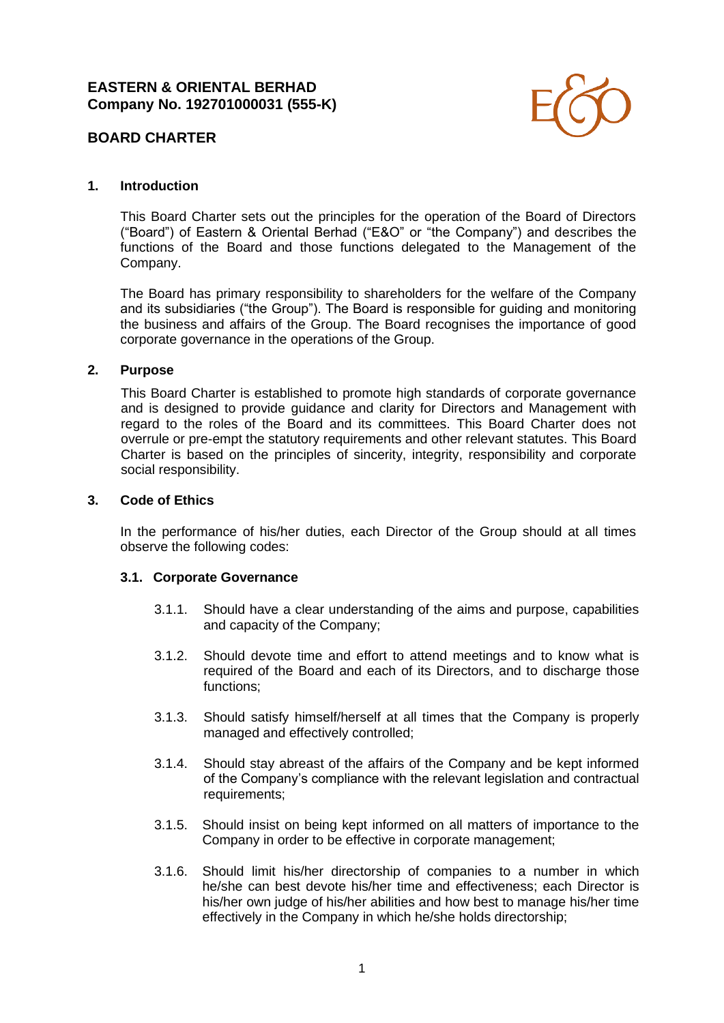

### **1. Introduction**

This Board Charter sets out the principles for the operation of the Board of Directors ("Board") of Eastern & Oriental Berhad ("E&O" or "the Company") and describes the functions of the Board and those functions delegated to the Management of the Company.

The Board has primary responsibility to shareholders for the welfare of the Company and its subsidiaries ("the Group"). The Board is responsible for guiding and monitoring the business and affairs of the Group. The Board recognises the importance of good corporate governance in the operations of the Group.

### **2. Purpose**

This Board Charter is established to promote high standards of corporate governance and is designed to provide guidance and clarity for Directors and Management with regard to the roles of the Board and its committees. This Board Charter does not overrule or pre-empt the statutory requirements and other relevant statutes. This Board Charter is based on the principles of sincerity, integrity, responsibility and corporate social responsibility.

### **3. Code of Ethics**

In the performance of his/her duties, each Director of the Group should at all times observe the following codes:

### **3.1. Corporate Governance**

- 3.1.1. Should have a clear understanding of the aims and purpose, capabilities and capacity of the Company;
- 3.1.2. Should devote time and effort to attend meetings and to know what is required of the Board and each of its Directors, and to discharge those functions;
- 3.1.3. Should satisfy himself/herself at all times that the Company is properly managed and effectively controlled;
- 3.1.4. Should stay abreast of the affairs of the Company and be kept informed of the Company's compliance with the relevant legislation and contractual requirements:
- 3.1.5. Should insist on being kept informed on all matters of importance to the Company in order to be effective in corporate management;
- 3.1.6. Should limit his/her directorship of companies to a number in which he/she can best devote his/her time and effectiveness; each Director is his/her own judge of his/her abilities and how best to manage his/her time effectively in the Company in which he/she holds directorship;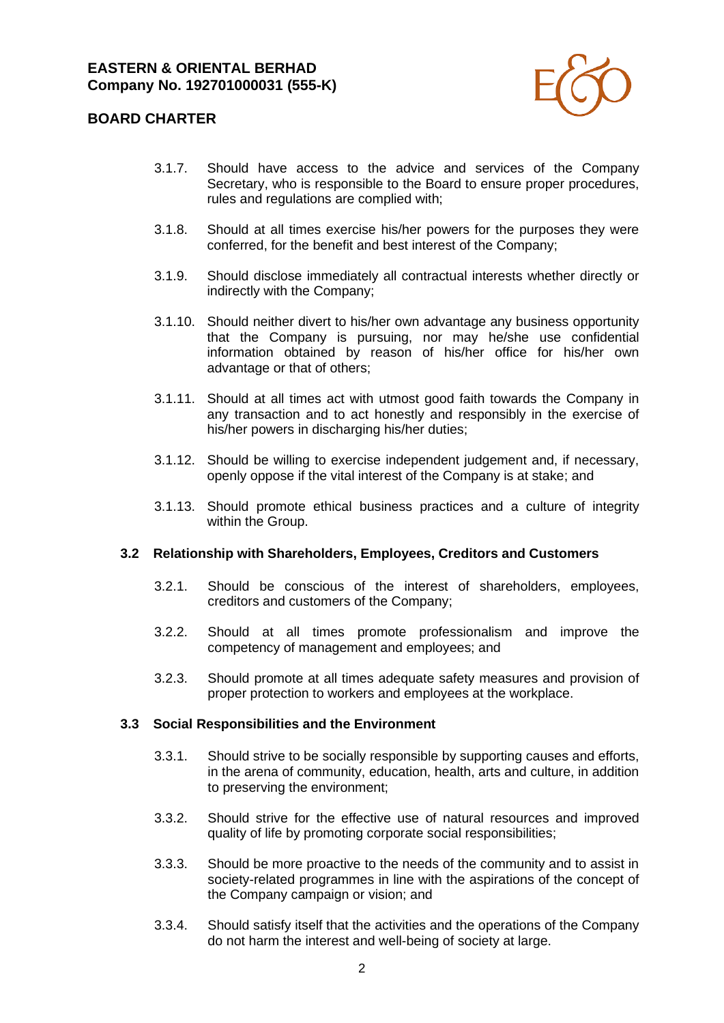

- 3.1.7. Should have access to the advice and services of the Company Secretary, who is responsible to the Board to ensure proper procedures, rules and regulations are complied with;
- 3.1.8. Should at all times exercise his/her powers for the purposes they were conferred, for the benefit and best interest of the Company;
- 3.1.9. Should disclose immediately all contractual interests whether directly or indirectly with the Company;
- 3.1.10. Should neither divert to his/her own advantage any business opportunity that the Company is pursuing, nor may he/she use confidential information obtained by reason of his/her office for his/her own advantage or that of others;
- 3.1.11. Should at all times act with utmost good faith towards the Company in any transaction and to act honestly and responsibly in the exercise of his/her powers in discharging his/her duties;
- 3.1.12. Should be willing to exercise independent judgement and, if necessary, openly oppose if the vital interest of the Company is at stake; and
- 3.1.13. Should promote ethical business practices and a culture of integrity within the Group.

#### **3.2 Relationship with Shareholders, Employees, Creditors and Customers**

- 3.2.1. Should be conscious of the interest of shareholders, employees, creditors and customers of the Company;
- 3.2.2. Should at all times promote professionalism and improve the competency of management and employees; and
- 3.2.3. Should promote at all times adequate safety measures and provision of proper protection to workers and employees at the workplace.

#### **3.3 Social Responsibilities and the Environment**

- 3.3.1. Should strive to be socially responsible by supporting causes and efforts, in the arena of community, education, health, arts and culture, in addition to preserving the environment;
- 3.3.2. Should strive for the effective use of natural resources and improved quality of life by promoting corporate social responsibilities;
- 3.3.3. Should be more proactive to the needs of the community and to assist in society-related programmes in line with the aspirations of the concept of the Company campaign or vision; and
- 3.3.4. Should satisfy itself that the activities and the operations of the Company do not harm the interest and well-being of society at large.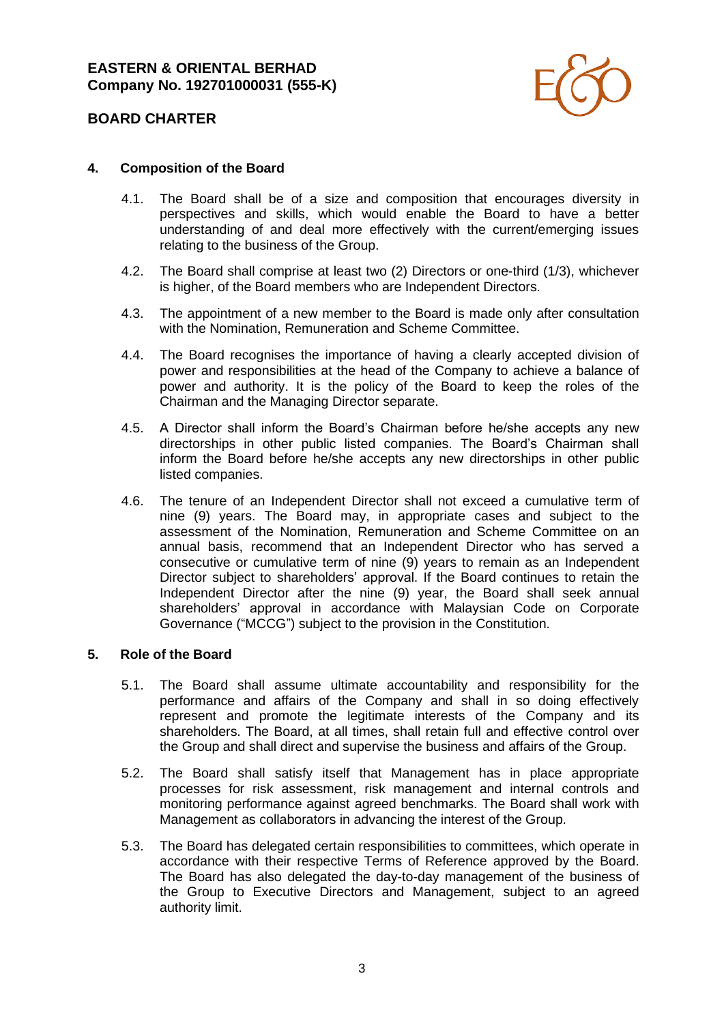

### **4. Composition of the Board**

- 4.1. The Board shall be of a size and composition that encourages diversity in perspectives and skills, which would enable the Board to have a better understanding of and deal more effectively with the current/emerging issues relating to the business of the Group.
- 4.2. The Board shall comprise at least two (2) Directors or one-third (1/3), whichever is higher, of the Board members who are Independent Directors.
- 4.3. The appointment of a new member to the Board is made only after consultation with the Nomination, Remuneration and Scheme Committee.
- 4.4. The Board recognises the importance of having a clearly accepted division of power and responsibilities at the head of the Company to achieve a balance of power and authority. It is the policy of the Board to keep the roles of the Chairman and the Managing Director separate.
- 4.5. A Director shall inform the Board's Chairman before he/she accepts any new directorships in other public listed companies. The Board's Chairman shall inform the Board before he/she accepts any new directorships in other public listed companies.
- 4.6. The tenure of an Independent Director shall not exceed a cumulative term of nine (9) years. The Board may, in appropriate cases and subject to the assessment of the Nomination, Remuneration and Scheme Committee on an annual basis, recommend that an Independent Director who has served a consecutive or cumulative term of nine (9) years to remain as an Independent Director subject to shareholders' approval. If the Board continues to retain the Independent Director after the nine (9) year, the Board shall seek annual shareholders' approval in accordance with Malaysian Code on Corporate Governance ("MCCG") subject to the provision in the Constitution.

#### **5. Role of the Board**

- 5.1. The Board shall assume ultimate accountability and responsibility for the performance and affairs of the Company and shall in so doing effectively represent and promote the legitimate interests of the Company and its shareholders. The Board, at all times, shall retain full and effective control over the Group and shall direct and supervise the business and affairs of the Group.
- 5.2. The Board shall satisfy itself that Management has in place appropriate processes for risk assessment, risk management and internal controls and monitoring performance against agreed benchmarks. The Board shall work with Management as collaborators in advancing the interest of the Group.
- 5.3. The Board has delegated certain responsibilities to committees, which operate in accordance with their respective Terms of Reference approved by the Board. The Board has also delegated the day-to-day management of the business of the Group to Executive Directors and Management, subject to an agreed authority limit.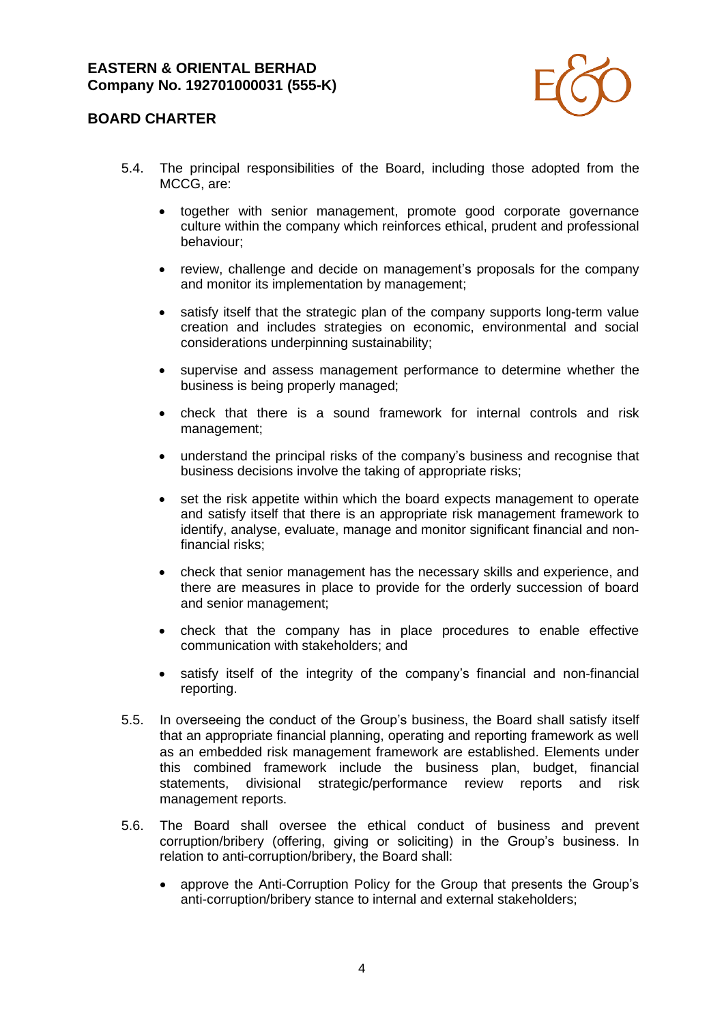

# **BOARD CHARTER**

- 5.4. The principal responsibilities of the Board, including those adopted from the MCCG, are:
	- together with senior management, promote good corporate governance culture within the company which reinforces ethical, prudent and professional behaviour;
	- review, challenge and decide on management's proposals for the company and monitor its implementation by management;
	- satisfy itself that the strategic plan of the company supports long-term value creation and includes strategies on economic, environmental and social considerations underpinning sustainability;
	- supervise and assess management performance to determine whether the business is being properly managed;
	- check that there is a sound framework for internal controls and risk management;
	- understand the principal risks of the company's business and recognise that business decisions involve the taking of appropriate risks;
	- set the risk appetite within which the board expects management to operate and satisfy itself that there is an appropriate risk management framework to identify, analyse, evaluate, manage and monitor significant financial and nonfinancial risks;
	- check that senior management has the necessary skills and experience, and there are measures in place to provide for the orderly succession of board and senior management;
	- check that the company has in place procedures to enable effective communication with stakeholders; and
	- satisfy itself of the integrity of the company's financial and non-financial reporting.
- 5.5. In overseeing the conduct of the Group's business, the Board shall satisfy itself that an appropriate financial planning, operating and reporting framework as well as an embedded risk management framework are established. Elements under this combined framework include the business plan, budget, financial statements, divisional strategic/performance review reports and risk management reports.
- 5.6. The Board shall oversee the ethical conduct of business and prevent corruption/bribery (offering, giving or soliciting) in the Group's business. In relation to anti-corruption/bribery, the Board shall:
	- approve the Anti-Corruption Policy for the Group that presents the Group's anti-corruption/bribery stance to internal and external stakeholders;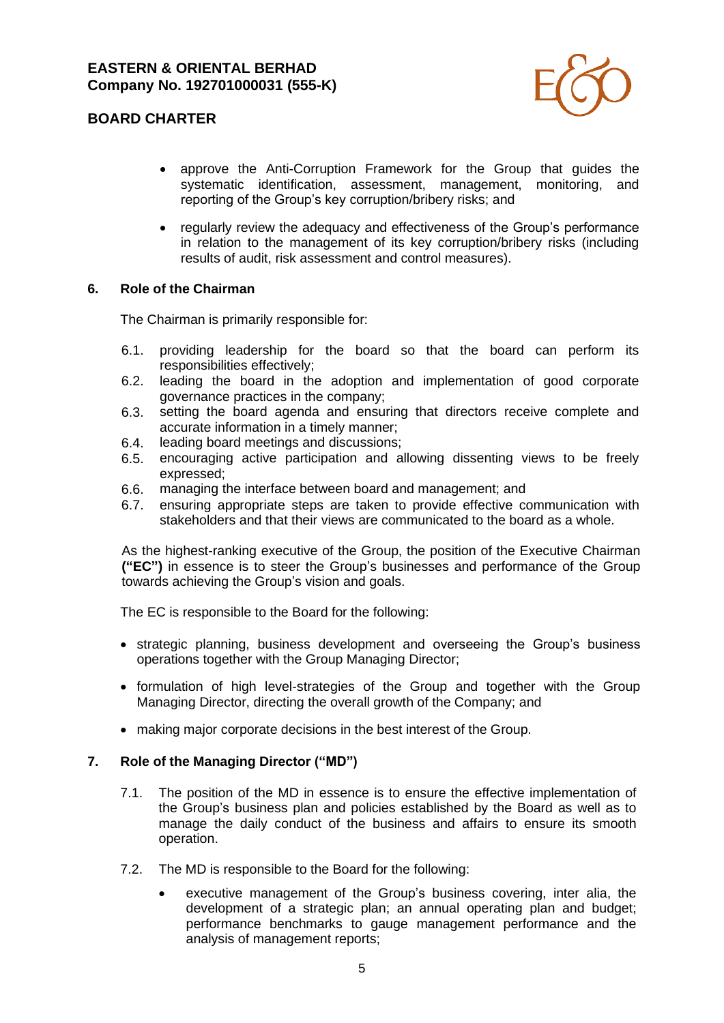

- approve the Anti-Corruption Framework for the Group that guides the systematic identification, assessment, management, monitoring, and reporting of the Group's key corruption/bribery risks; and
- regularly review the adequacy and effectiveness of the Group's performance in relation to the management of its key corruption/bribery risks (including results of audit, risk assessment and control measures).

### **6. Role of the Chairman**

The Chairman is primarily responsible for:

- 6.1. providing leadership for the board so that the board can perform its responsibilities effectively;
- 6.2. leading the board in the adoption and implementation of good corporate governance practices in the company;
- 6.3. setting the board agenda and ensuring that directors receive complete and accurate information in a timely manner;
- 6.4. leading board meetings and discussions;
- 6.5. encouraging active participation and allowing dissenting views to be freely expressed;
- 6.6. managing the interface between board and management; and
- 6.7. ensuring appropriate steps are taken to provide effective communication with stakeholders and that their views are communicated to the board as a whole.

As the highest-ranking executive of the Group, the position of the Executive Chairman **("EC")** in essence is to steer the Group's businesses and performance of the Group towards achieving the Group's vision and goals.

The EC is responsible to the Board for the following:

- strategic planning, business development and overseeing the Group's business operations together with the Group Managing Director;
- formulation of high level-strategies of the Group and together with the Group Managing Director, directing the overall growth of the Company; and
- making major corporate decisions in the best interest of the Group.

### **7. Role of the Managing Director ("MD")**

- 7.1. The position of the MD in essence is to ensure the effective implementation of the Group's business plan and policies established by the Board as well as to manage the daily conduct of the business and affairs to ensure its smooth operation.
- 7.2. The MD is responsible to the Board for the following:
	- executive management of the Group's business covering, inter alia, the development of a strategic plan; an annual operating plan and budget; performance benchmarks to gauge management performance and the analysis of management reports;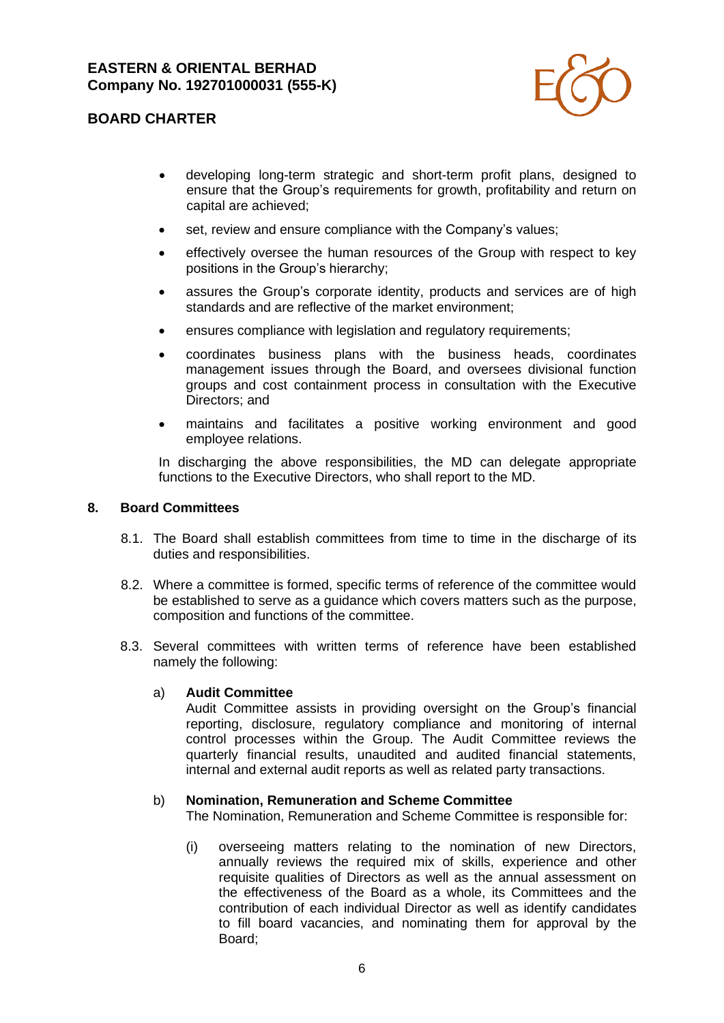

# **BOARD CHARTER**

- developing long-term strategic and short-term profit plans, designed to ensure that the Group's requirements for growth, profitability and return on capital are achieved;
- set, review and ensure compliance with the Company's values;
- effectively oversee the human resources of the Group with respect to key positions in the Group's hierarchy;
- assures the Group's corporate identity, products and services are of high standards and are reflective of the market environment;
- ensures compliance with legislation and regulatory requirements;
- coordinates business plans with the business heads, coordinates management issues through the Board, and oversees divisional function groups and cost containment process in consultation with the Executive Directors; and
- maintains and facilitates a positive working environment and good employee relations.

In discharging the above responsibilities, the MD can delegate appropriate functions to the Executive Directors, who shall report to the MD.

#### **8. Board Committees**

- 8.1. The Board shall establish committees from time to time in the discharge of its duties and responsibilities.
- 8.2. Where a committee is formed, specific terms of reference of the committee would be established to serve as a guidance which covers matters such as the purpose, composition and functions of the committee.
- 8.3. Several committees with written terms of reference have been established namely the following:

#### a) **Audit Committee**

Audit Committee assists in providing oversight on the Group's financial reporting, disclosure, regulatory compliance and monitoring of internal control processes within the Group. The Audit Committee reviews the quarterly financial results, unaudited and audited financial statements, internal and external audit reports as well as related party transactions.

#### b) **Nomination, Remuneration and Scheme Committee**

The Nomination, Remuneration and Scheme Committee is responsible for:

(i) overseeing matters relating to the nomination of new Directors, annually reviews the required mix of skills, experience and other requisite qualities of Directors as well as the annual assessment on the effectiveness of the Board as a whole, its Committees and the contribution of each individual Director as well as identify candidates to fill board vacancies, and nominating them for approval by the Board;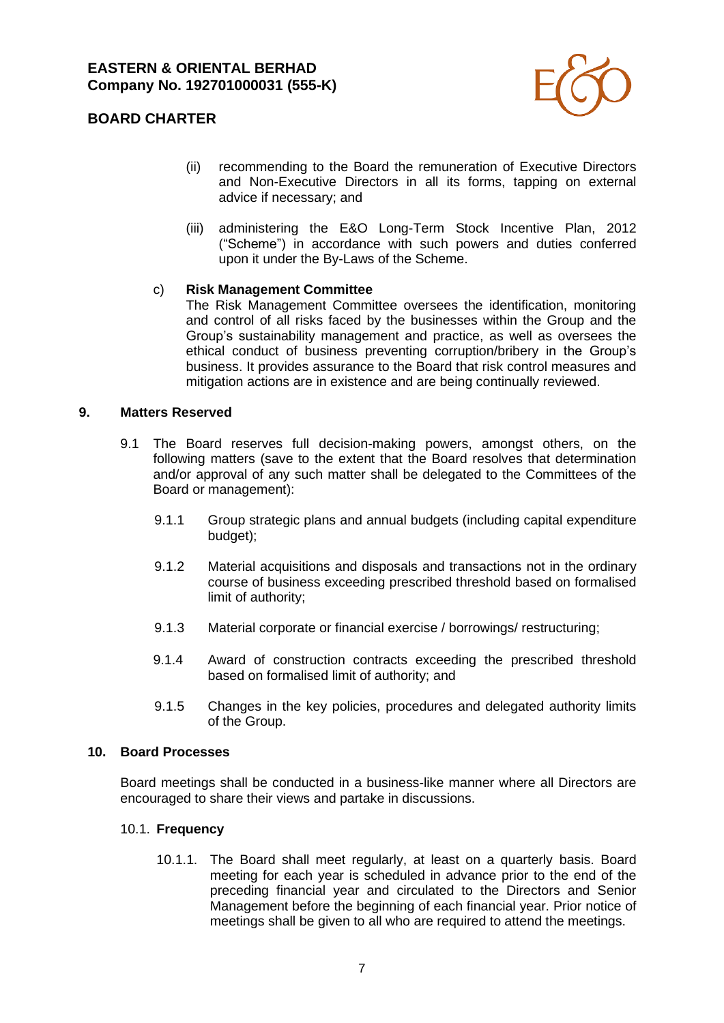

# **BOARD CHARTER**

- (ii) recommending to the Board the remuneration of Executive Directors and Non-Executive Directors in all its forms, tapping on external advice if necessary; and
- (iii) administering the E&O Long-Term Stock Incentive Plan, 2012 ("Scheme") in accordance with such powers and duties conferred upon it under the By-Laws of the Scheme.

## c) **Risk Management Committee**

The Risk Management Committee oversees the identification, monitoring and control of all risks faced by the businesses within the Group and the Group's sustainability management and practice, as well as oversees the ethical conduct of business preventing corruption/bribery in the Group's business. It provides assurance to the Board that risk control measures and mitigation actions are in existence and are being continually reviewed.

### **9. Matters Reserved**

- 9.1 The Board reserves full decision-making powers, amongst others, on the following matters (save to the extent that the Board resolves that determination and/or approval of any such matter shall be delegated to the Committees of the Board or management):
	- 9.1.1 Group strategic plans and annual budgets (including capital expenditure budget);
	- 9.1.2 Material acquisitions and disposals and transactions not in the ordinary course of business exceeding prescribed threshold based on formalised limit of authority;
	- 9.1.3 Material corporate or financial exercise / borrowings/ restructuring;
	- 9.1.4 Award of construction contracts exceeding the prescribed threshold based on formalised limit of authority; and
	- 9.1.5 Changes in the key policies, procedures and delegated authority limits of the Group.

### **10. Board Processes**

Board meetings shall be conducted in a business-like manner where all Directors are encouraged to share their views and partake in discussions.

### 10.1. **Frequency**

10.1.1. The Board shall meet regularly, at least on a quarterly basis. Board meeting for each year is scheduled in advance prior to the end of the preceding financial year and circulated to the Directors and Senior Management before the beginning of each financial year. Prior notice of meetings shall be given to all who are required to attend the meetings.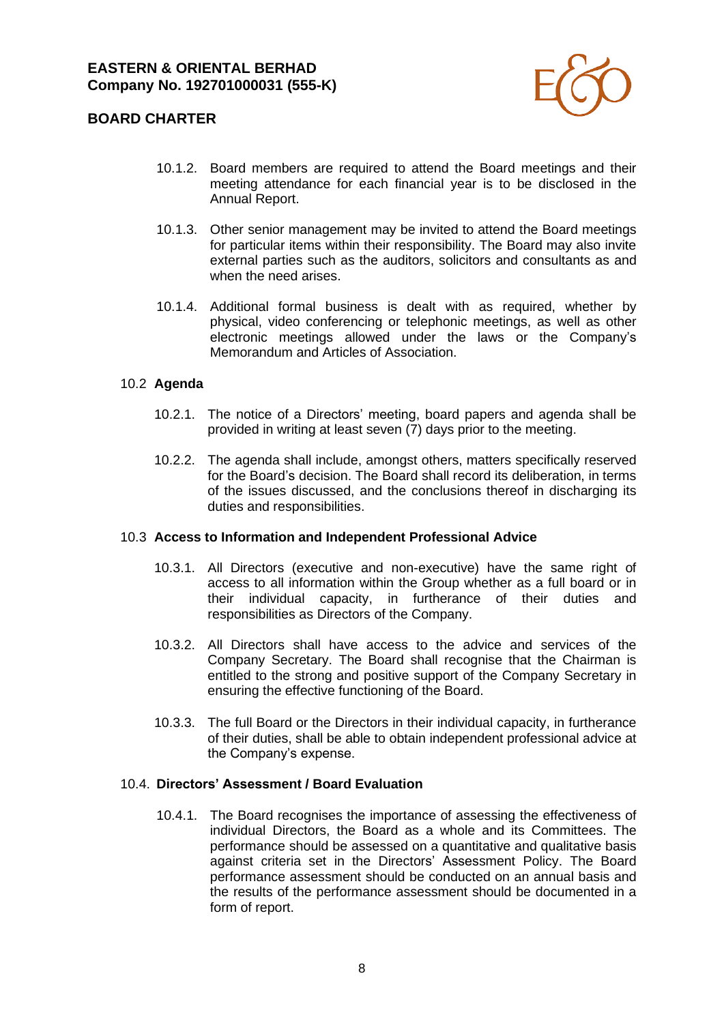

# **BOARD CHARTER**

- 10.1.2. Board members are required to attend the Board meetings and their meeting attendance for each financial year is to be disclosed in the Annual Report.
- 10.1.3. Other senior management may be invited to attend the Board meetings for particular items within their responsibility. The Board may also invite external parties such as the auditors, solicitors and consultants as and when the need arises.
- 10.1.4. Additional formal business is dealt with as required, whether by physical, video conferencing or telephonic meetings, as well as other electronic meetings allowed under the laws or the Company's Memorandum and Articles of Association.

### 10.2 **Agenda**

- 10.2.1. The notice of a Directors' meeting, board papers and agenda shall be provided in writing at least seven (7) days prior to the meeting.
- 10.2.2. The agenda shall include, amongst others, matters specifically reserved for the Board's decision. The Board shall record its deliberation, in terms of the issues discussed, and the conclusions thereof in discharging its duties and responsibilities.

#### 10.3 **Access to Information and Independent Professional Advice**

- 10.3.1. All Directors (executive and non-executive) have the same right of access to all information within the Group whether as a full board or in their individual capacity, in furtherance of their duties and responsibilities as Directors of the Company.
- 10.3.2. All Directors shall have access to the advice and services of the Company Secretary. The Board shall recognise that the Chairman is entitled to the strong and positive support of the Company Secretary in ensuring the effective functioning of the Board.
- 10.3.3. The full Board or the Directors in their individual capacity, in furtherance of their duties, shall be able to obtain independent professional advice at the Company's expense.

#### 10.4. **Directors' Assessment / Board Evaluation**

10.4.1. The Board recognises the importance of assessing the effectiveness of individual Directors, the Board as a whole and its Committees. The performance should be assessed on a quantitative and qualitative basis against criteria set in the Directors' Assessment Policy. The Board performance assessment should be conducted on an annual basis and the results of the performance assessment should be documented in a form of report.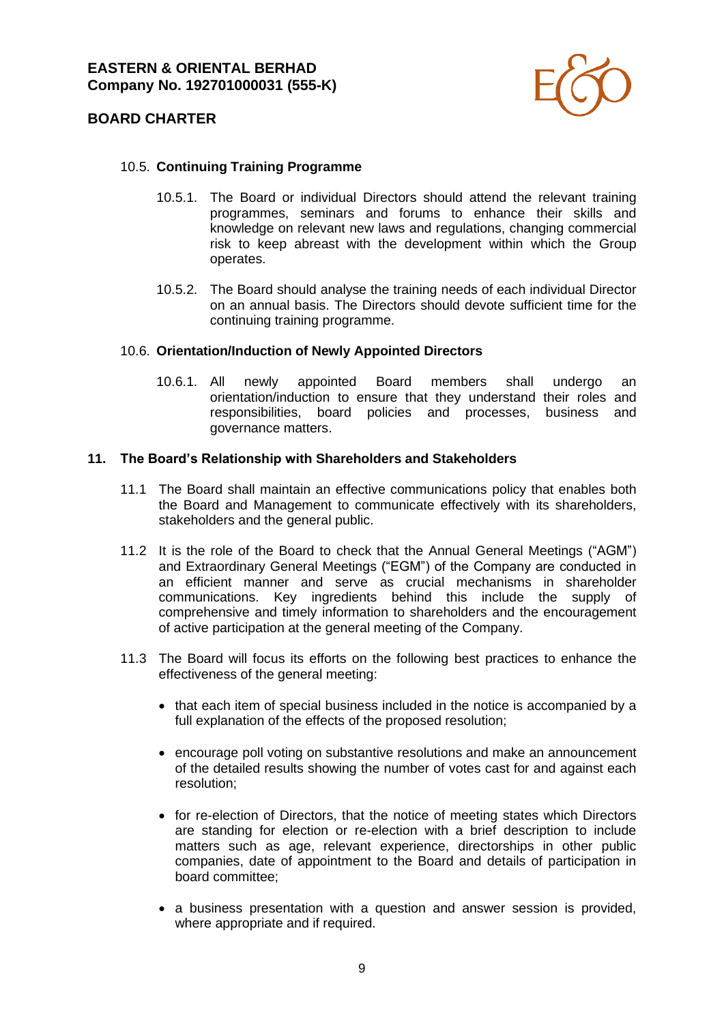

### 10.5. **Continuing Training Programme**

- 10.5.1. The Board or individual Directors should attend the relevant training programmes, seminars and forums to enhance their skills and knowledge on relevant new laws and regulations, changing commercial risk to keep abreast with the development within which the Group operates.
- 10.5.2. The Board should analyse the training needs of each individual Director on an annual basis. The Directors should devote sufficient time for the continuing training programme.

#### 10.6. **Orientation/Induction of Newly Appointed Directors**

10.6.1. All newly appointed Board members shall undergo an orientation/induction to ensure that they understand their roles and responsibilities, board policies and processes, business and governance matters.

#### **11. The Board's Relationship with Shareholders and Stakeholders**

- 11.1 The Board shall maintain an effective communications policy that enables both the Board and Management to communicate effectively with its shareholders, stakeholders and the general public.
- 11.2 It is the role of the Board to check that the Annual General Meetings ("AGM") and Extraordinary General Meetings ("EGM") of the Company are conducted in an efficient manner and serve as crucial mechanisms in shareholder communications. Key ingredients behind this include the supply of comprehensive and timely information to shareholders and the encouragement of active participation at the general meeting of the Company.
- 11.3 The Board will focus its efforts on the following best practices to enhance the effectiveness of the general meeting:
	- that each item of special business included in the notice is accompanied by a full explanation of the effects of the proposed resolution;
	- encourage poll voting on substantive resolutions and make an announcement of the detailed results showing the number of votes cast for and against each resolution;
	- for re-election of Directors, that the notice of meeting states which Directors are standing for election or re-election with a brief description to include matters such as age, relevant experience, directorships in other public companies, date of appointment to the Board and details of participation in board committee;
	- a business presentation with a question and answer session is provided, where appropriate and if required.